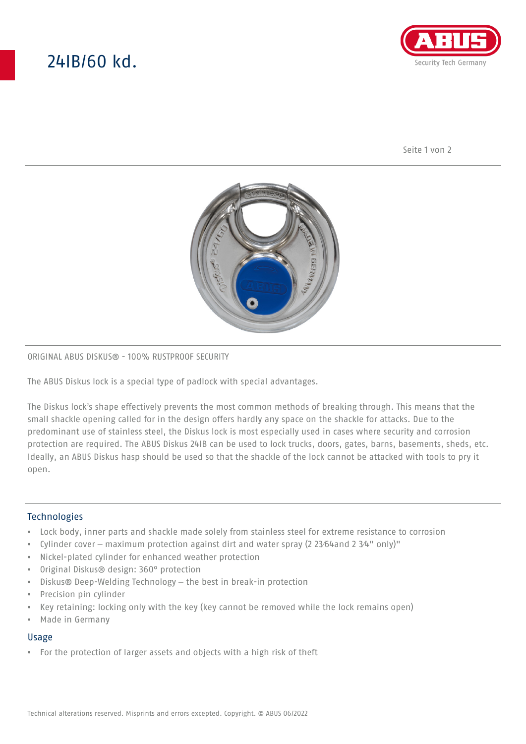# 24IB/60 kd.



Seite 1 von 2



## ORIGINAL ABUS DISKUS® - 100% RUSTPROOF SECURITY

The ABUS Diskus lock is a special type of padlock with special advantages.

The Diskus lock's shape effectively prevents the most common methods of breaking through. This means that the small shackle opening called for in the design offers hardly any space on the shackle for attacks. Due to the predominant use of stainless steel, the Diskus lock is most especially used in cases where security and corrosion protection are required. The ABUS Diskus 24IB can be used to lock trucks, doors, gates, barns, basements, sheds, etc. Ideally, an ABUS Diskus hasp should be used so that the shackle of the lock cannot be attacked with tools to pry it open.

## **Technologies**

- Lock body, inner parts and shackle made solely from stainless steel for extreme resistance to corrosion
- Cylinder cover maximum protection against dirt and water spray (2 23⁄64and 2 3⁄4" only)"
- Nickel-plated cylinder for enhanced weather protection
- Original Diskus® design: 360° protection
- Diskus® Deep-Welding Technology the best in break-in protection
- Precision pin cylinder
- Key retaining: locking only with the key (key cannot be removed while the lock remains open)
- Made in Germany

### Usage

• For the protection of larger assets and objects with a high risk of theft